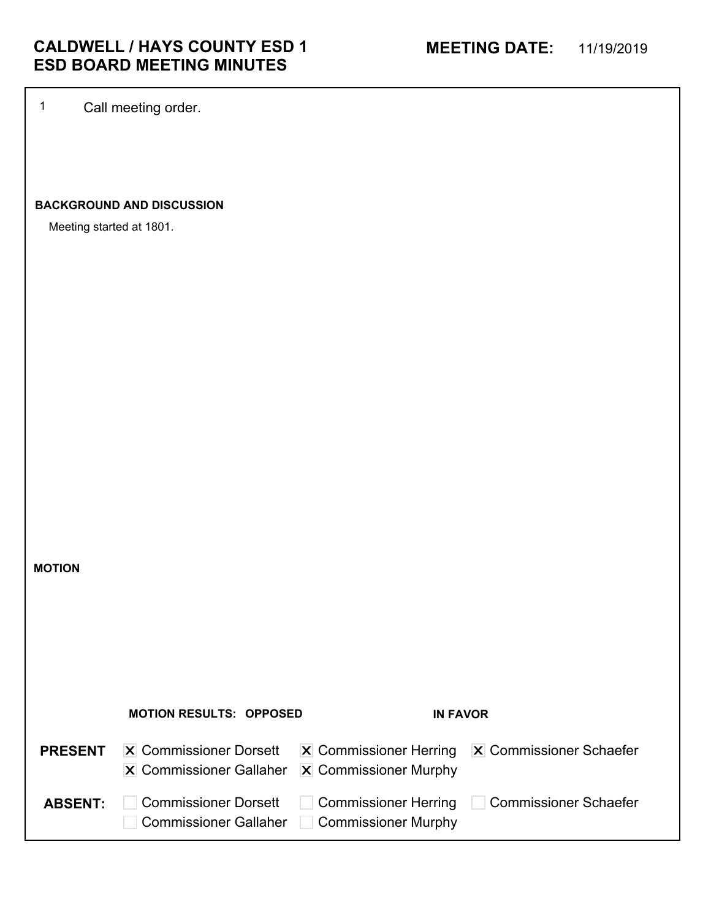1 Call meeting order.

## **BACKGROUND AND DISCUSSION**

Meeting started at 1801.

**MOTION**

|                | <b>MOTION RESULTS: OPPOSED</b>                                                                 | <b>IN FAVOR</b>                                           |                                                                          |
|----------------|------------------------------------------------------------------------------------------------|-----------------------------------------------------------|--------------------------------------------------------------------------|
| <b>PRESENT</b> | <b>X</b> Commissioner Dorsett<br>$\vert$ X Commissioner Gallaher $\vert$ X Commissioner Murphy |                                                           | $ \mathbf{X} $ Commissioner Herring $ \mathbf{X} $ Commissioner Schaefer |
| <b>ABSENT:</b> | <b>Commissioner Dorsett</b><br><b>Commissioner Gallaher</b>                                    | <b>Commissioner Herring</b><br><b>Commissioner Murphy</b> | Commissioner Schaefer                                                    |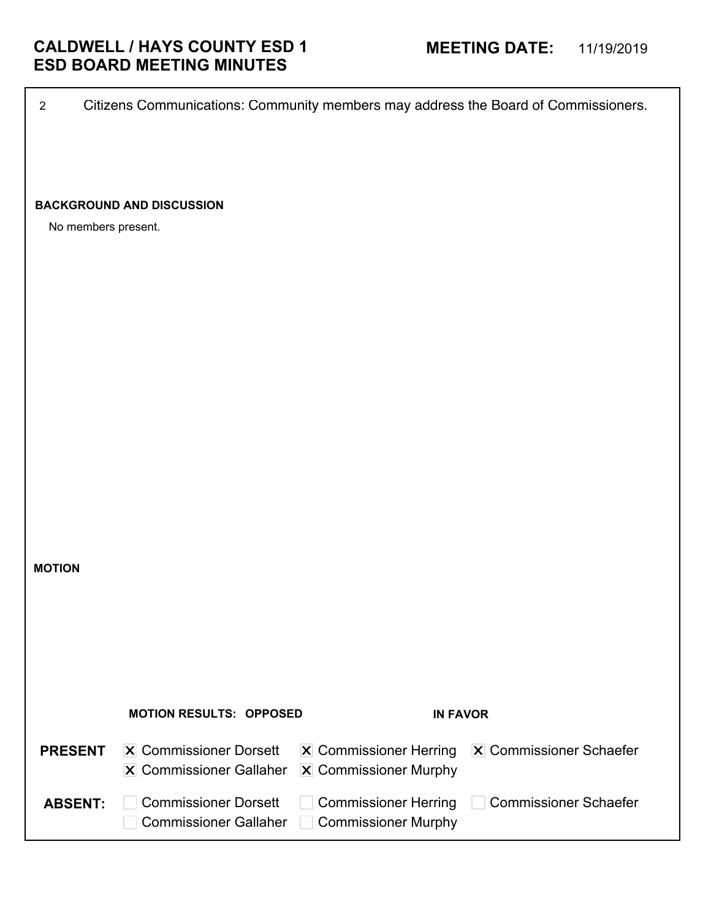**MOTION MOTION RESULTS: OPPOSED IN FAVOR** PRESENT | X Commissioner Dorsett Commissioner Gallaher Commissioner Murphy **PRESENT** X Commissioner Dorsett X Commissioner Herring X Commissioner Schaefer **Commissioner Dorsett** Commissioner Gallaher Commissioner Murphy ABSENT: Commissioner Dorsett | Commissioner Herring | Commissioner Schaefer No members present. **BACKGROUND AND DISCUSSION**

2 Citizens Communications: Community members may address the Board of Commissioners.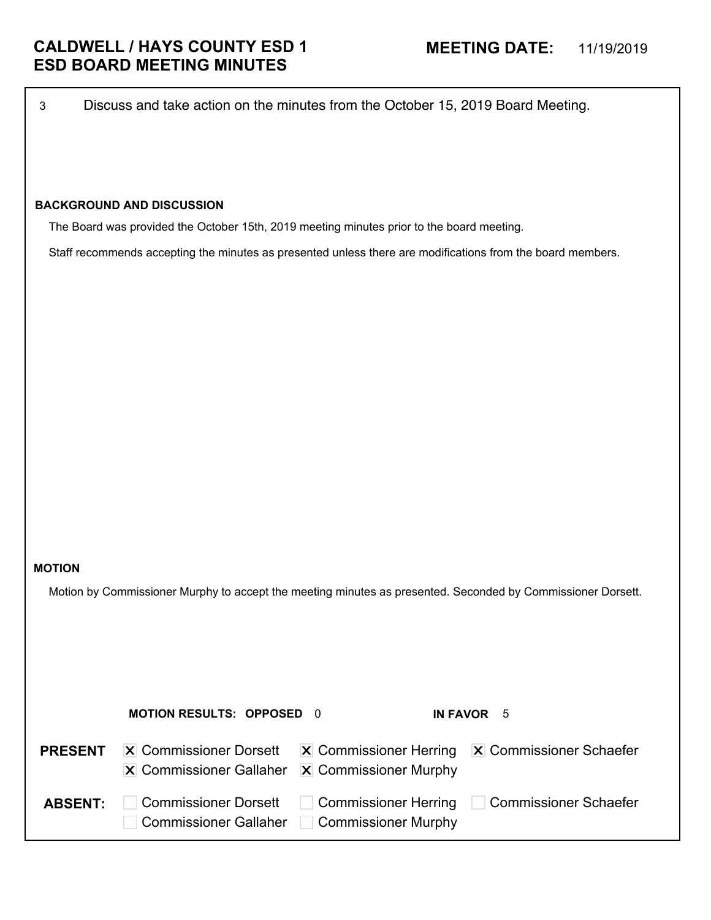3 Discuss and take action on the minutes from the October 15, 2019 Board Meeting.

## **BACKGROUND AND DISCUSSION**

The Board was provided the October 15th, 2019 meeting minutes prior to the board meeting.

Staff recommends accepting the minutes as presented unless there are modifications from the board members.

### **MOTION**

Motion by Commissioner Murphy to accept the meeting minutes as presented. Seconded by Commissioner Dorsett.

|                | <b>MOTION RESULTS: OPPOSED 0</b>                                                                         |                                                           | IN FAVOR 5                                                               |
|----------------|----------------------------------------------------------------------------------------------------------|-----------------------------------------------------------|--------------------------------------------------------------------------|
| <b>PRESENT</b> | <b>X</b> Commissioner Dorsett<br>$\overline{X}$ Commissioner Gallaher $\overline{X}$ Commissioner Murphy |                                                           | $ \mathbf{X} $ Commissioner Herring $ \mathbf{X} $ Commissioner Schaefer |
| <b>ABSENT:</b> | <b>Commissioner Dorsett</b><br>Commissioner Gallaher                                                     | <b>Commissioner Herring</b><br><b>Commissioner Murphy</b> | Commissioner Schaefer                                                    |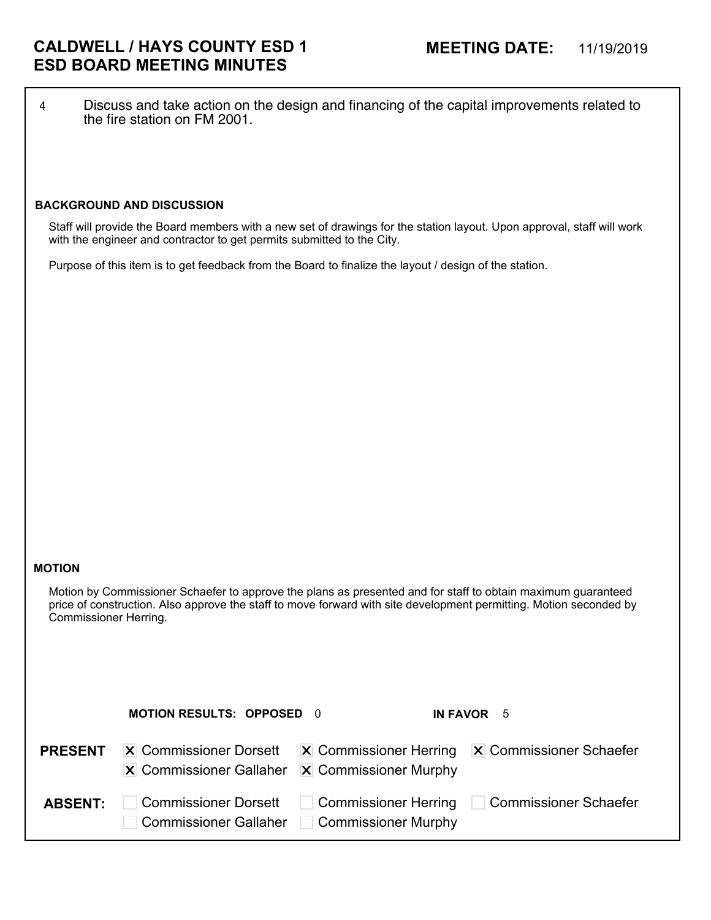4 Discuss and take action on the design and financing of the capital improvements related to the fire station on FM 2001.

### **BACKGROUND AND DISCUSSION**

Staff will provide the Board members with a new set of drawings for the station layout. Upon approval, staff will work with the engineer and contractor to get permits submitted to the City.

Purpose of this item is to get feedback from the Board to finalize the layout / design of the station.

### **MOTION**

Motion by Commissioner Schaefer to approve the plans as presented and for staff to obtain maximum guaranteed price of construction. Also approve the staff to move forward with site development permitting. Motion seconded by Commissioner Herring.

|                | <b>MOTION RESULTS: OPPOSED 0</b>                                                                     |                     | IN FAVOR 5                                                               |
|----------------|------------------------------------------------------------------------------------------------------|---------------------|--------------------------------------------------------------------------|
| <b>PRESENT</b> | $ \mathbf{X} $ Commissioner Dorsett<br>$\vert$ X Commissioner Gallaher $\vert$ X Commissioner Murphy |                     | $ \mathbf{X} $ Commissioner Herring $ \mathbf{X} $ Commissioner Schaefer |
| <b>ABSENT:</b> | <b>Commissioner Dorsett</b><br>Commissioner Gallaher                                                 | Commissioner Murphy | □ Commissioner Herring □ Commissioner Schaefer                           |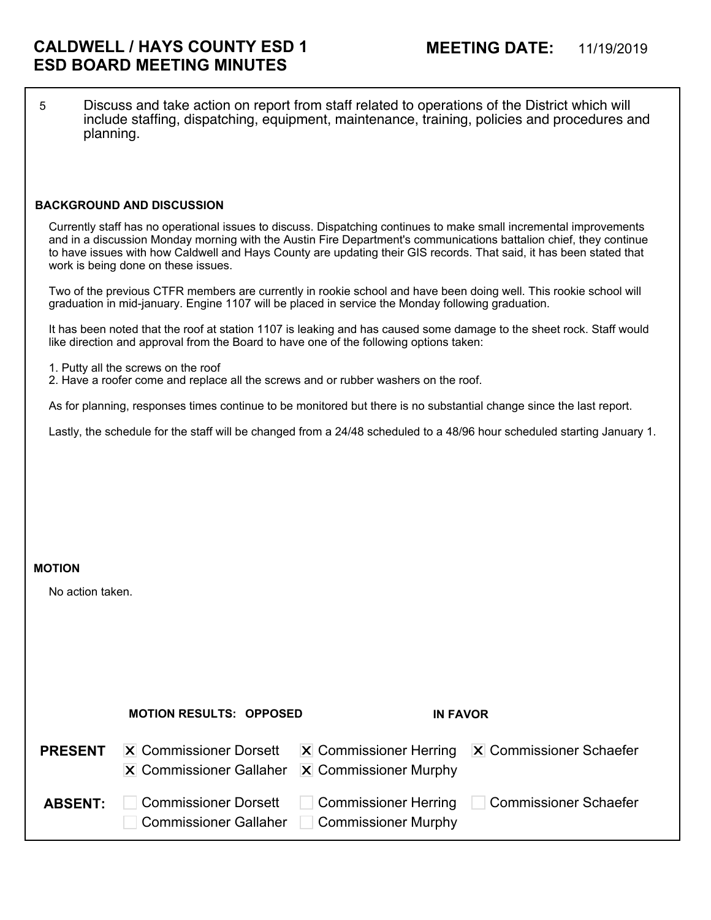5 Discuss and take action on report from staff related to operations of the District which will include staffing, dispatching, equipment, maintenance, training, policies and procedures and planning.

### **BACKGROUND AND DISCUSSION**

Currently staff has no operational issues to discuss. Dispatching continues to make small incremental improvements and in a discussion Monday morning with the Austin Fire Department's communications battalion chief, they continue to have issues with how Caldwell and Hays County are updating their GIS records. That said, it has been stated that work is being done on these issues.

Two of the previous CTFR members are currently in rookie school and have been doing well. This rookie school will graduation in mid-january. Engine 1107 will be placed in service the Monday following graduation.

It has been noted that the roof at station 1107 is leaking and has caused some damage to the sheet rock. Staff would like direction and approval from the Board to have one of the following options taken:

- 1. Putty all the screws on the roof
- 2. Have a roofer come and replace all the screws and or rubber washers on the roof.

As for planning, responses times continue to be monitored but there is no substantial change since the last report.

Lastly, the schedule for the staff will be changed from a 24/48 scheduled to a 48/96 hour scheduled starting January 1.

#### **MOTION**

No action taken.

|                | <b>MOTION RESULTS: OPPOSED</b>                                                                           | <b>IN FAVOR</b>                             |                                                                          |
|----------------|----------------------------------------------------------------------------------------------------------|---------------------------------------------|--------------------------------------------------------------------------|
| <b>PRESENT</b> | <b>X</b> Commissioner Dorsett<br>$ \mathbf{X} $ Commissioner Gallaher $ \mathbf{X} $ Commissioner Murphy |                                             | $ \mathbf{X} $ Commissioner Herring $ \mathbf{X} $ Commissioner Schaefer |
| <b>ABSENT:</b> | <b>Commissioner Dorsett</b><br><b>Commissioner Gallaher</b>                                              | Commissioner Herring<br>Commissioner Murphy | Commissioner Schaefer                                                    |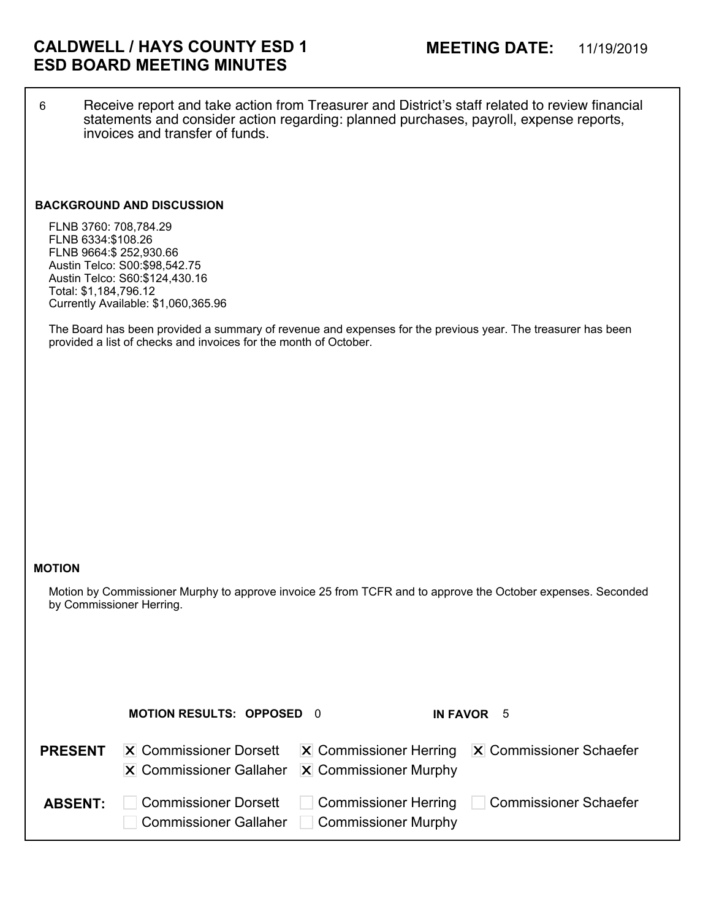6 Receive report and take action from Treasurer and District's staff related to review financial statements and consider action regarding: planned purchases, payroll, expense reports, invoices and transfer of funds.

### **BACKGROUND AND DISCUSSION**

FLNB 3760: 708,784.29 FLNB 6334:\$108.26 FLNB 9664:\$ 252,930.66 Austin Telco: S00:\$98,542.75 Austin Telco: S60:\$124,430.16 Total: \$1,184,796.12 Currently Available: \$1,060,365.96

The Board has been provided a summary of revenue and expenses for the previous year. The treasurer has been provided a list of checks and invoices for the month of October.

### **MOTION**

Motion by Commissioner Murphy to approve invoice 25 from TCFR and to approve the October expenses. Seconded by Commissioner Herring.

|                | <b>MOTION RESULTS: OPPOSED 0</b>                                                                         |                     | IN FAVOR 5                                                               |
|----------------|----------------------------------------------------------------------------------------------------------|---------------------|--------------------------------------------------------------------------|
| <b>PRESENT</b> | <b>X</b> Commissioner Dorsett<br>$ \mathbf{X} $ Commissioner Gallaher $ \mathbf{X} $ Commissioner Murphy |                     | $ \mathbf{X} $ Commissioner Herring $ \mathbf{X} $ Commissioner Schaefer |
| <b>ABSENT:</b> | <b>Commissioner Dorsett</b><br><b>Commissioner Gallaher</b>                                              | Commissioner Murphy | Commissioner Herring   Commissioner Schaefer                             |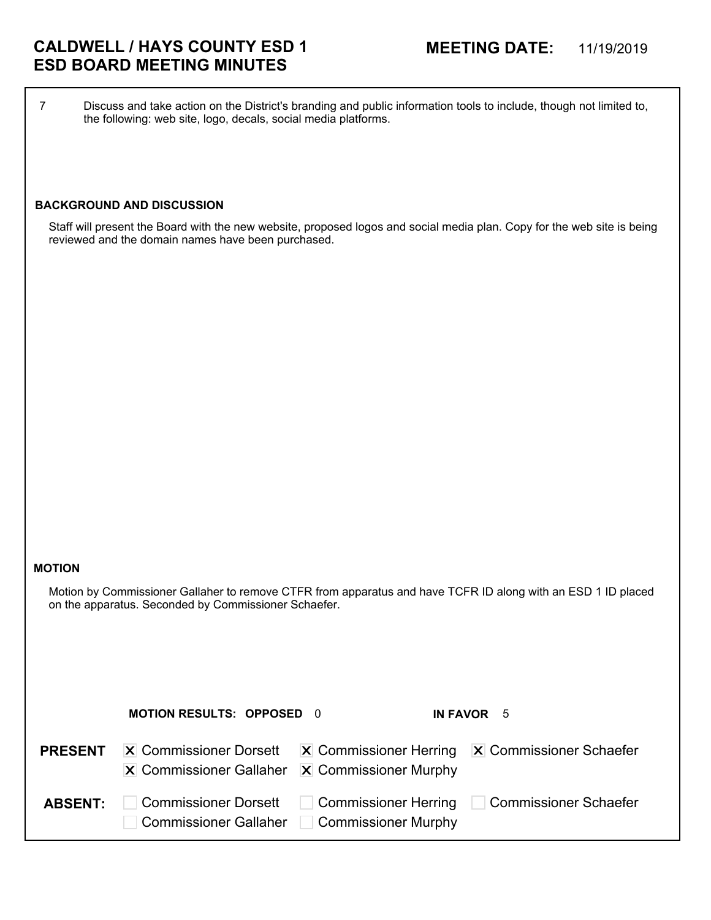# **CALDWELL / HAYS COUNTY ESD 1 MEETING DATE:** 11/19/2019 **ESD BOARD MEETING MINUTES**

7 Discuss and take action on the District's branding and public information tools to include, though not limited to, the following: web site, logo, decals, social media platforms.

## **BACKGROUND AND DISCUSSION**

Staff will present the Board with the new website, proposed logos and social media plan. Copy for the web site is being reviewed and the domain names have been purchased.

### **MOTION**

Motion by Commissioner Gallaher to remove CTFR from apparatus and have TCFR ID along with an ESD 1 ID placed on the apparatus. Seconded by Commissioner Schaefer.

|                | <b>MOTION RESULTS: OPPOSED 0</b>                                                                         |                                                    | IN FAVOR 5                                                               |
|----------------|----------------------------------------------------------------------------------------------------------|----------------------------------------------------|--------------------------------------------------------------------------|
| <b>PRESENT</b> | <b>X</b> Commissioner Dorsett<br>$ \mathbf{X} $ Commissioner Gallaher $ \mathbf{X} $ Commissioner Murphy |                                                    | $ \mathbf{X} $ Commissioner Herring $ \mathbf{X} $ Commissioner Schaefer |
| <b>ABSENT:</b> | <b>Commissioner Dorsett</b><br>Commissioner Gallaher                                                     | <b>Commissioner Herring</b><br>Commissioner Murphy | Commissioner Schaefer                                                    |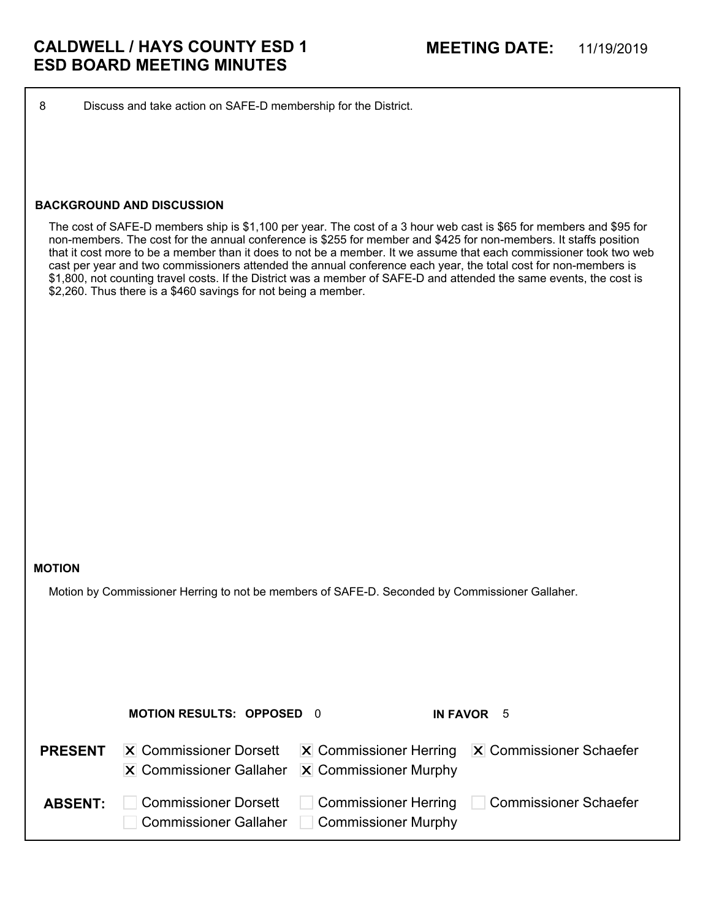8 Discuss and take action on SAFE-D membership for the District.

### **BACKGROUND AND DISCUSSION**

The cost of SAFE-D members ship is \$1,100 per year. The cost of a 3 hour web cast is \$65 for members and \$95 for non-members. The cost for the annual conference is \$255 for member and \$425 for non-members. It staffs position that it cost more to be a member than it does to not be a member. It we assume that each commissioner took two web cast per year and two commissioners attended the annual conference each year, the total cost for non-members is \$1,800, not counting travel costs. If the District was a member of SAFE-D and attended the same events, the cost is \$2,260. Thus there is a \$460 savings for not being a member.

### **MOTION**

Motion by Commissioner Herring to not be members of SAFE-D. Seconded by Commissioner Gallaher.

|                | <b>MOTION RESULTS: OPPOSED 0</b>                                                               |                     | IN FAVOR 5                                                               |
|----------------|------------------------------------------------------------------------------------------------|---------------------|--------------------------------------------------------------------------|
| <b>PRESENT</b> | <b>X</b> Commissioner Dorsett<br>$\vert$ X Commissioner Gallaher $\vert$ X Commissioner Murphy |                     | $ \mathbf{X} $ Commissioner Herring $ \mathbf{X} $ Commissioner Schaefer |
| <b>ABSENT:</b> | <b>Commissioner Dorsett</b><br><b>Commissioner Gallaher</b>                                    | Commissioner Murphy | ■ Commissioner Herring □ Commissioner Schaefer                           |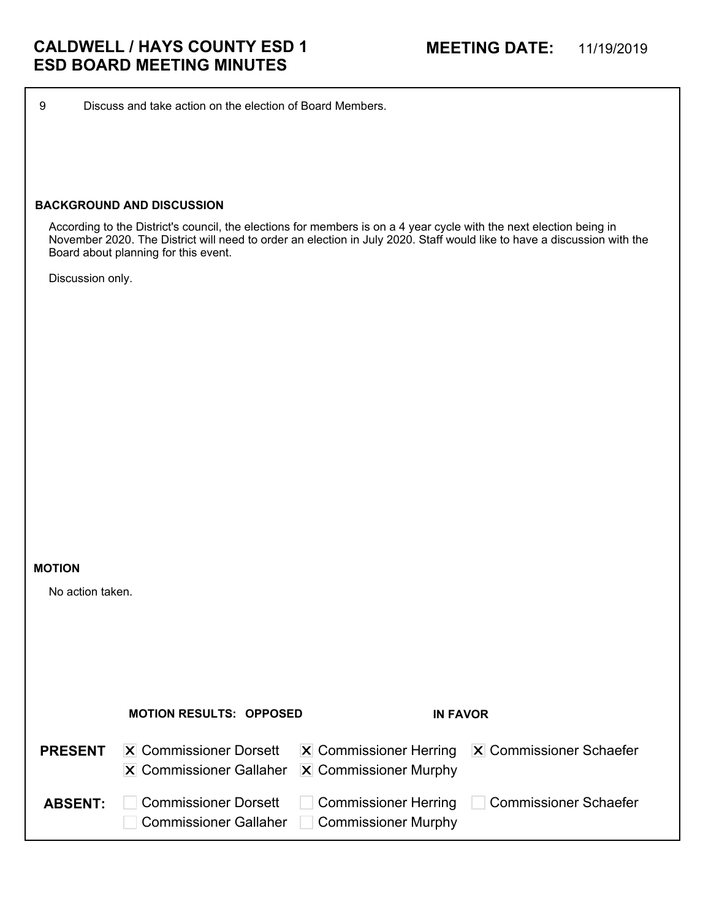9 Discuss and take action on the election of Board Members.

### **BACKGROUND AND DISCUSSION**

According to the District's council, the elections for members is on a 4 year cycle with the next election being in November 2020. The District will need to order an election in July 2020. Staff would like to have a discussion with the Board about planning for this event.

Discussion only.

### **MOTION**

No action taken.

|                | <b>MOTION RESULTS: OPPOSED</b>                                                                 | <b>IN FAVOR</b>                                    |                                                                          |
|----------------|------------------------------------------------------------------------------------------------|----------------------------------------------------|--------------------------------------------------------------------------|
| <b>PRESENT</b> | <b>X</b> Commissioner Dorsett<br>$\vert$ X Commissioner Gallaher $\vert$ X Commissioner Murphy |                                                    | $ \mathbf{X} $ Commissioner Herring $ \mathbf{X} $ Commissioner Schaefer |
| <b>ABSENT:</b> | <b>Commissioner Dorsett</b><br><b>Commissioner Gallaher</b>                                    | <b>Commissioner Herring</b><br>Commissioner Murphy | Commissioner Schaefer                                                    |